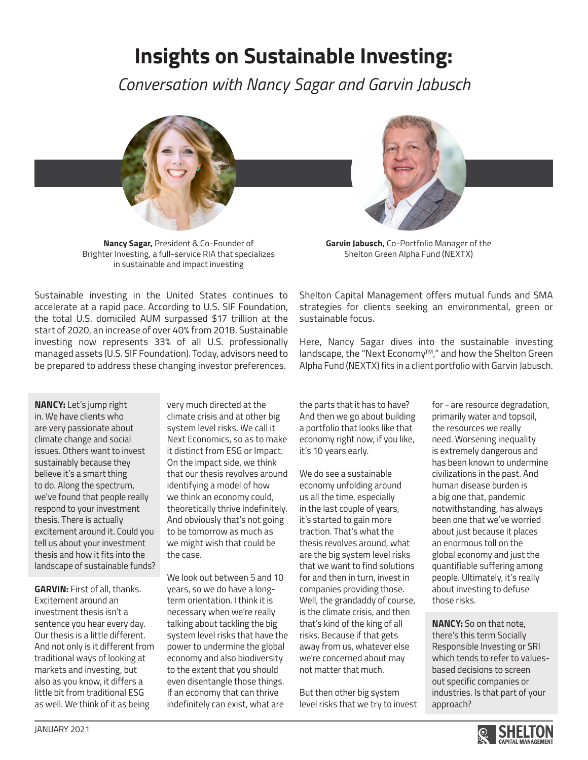## **Insights on Sustainable Investing:**

*Conversation with Nancy Sagar and Garvin Jabusch*



**Nancy Sagar,** President & Co-Founder of Brighter Investing, a full-service RIA that specializes in sustainable and impact investing

**Garvin Jabusch,** Co-Portfolio Manager of the Shelton Green Alpha Fund (NEXTX)

Sustainable investing in the United States continues to accelerate at a rapid pace. According to U.S. SIF Foundation, the total U.S. domiciled AUM surpassed \$17 trillion at the start of 2020, an increase of over 40% from 2018. Sustainable investing now represents 33% of all U.S. professionally managed assets (U.S. SIF Foundation). Today, advisors need to be prepared to address these changing investor preferences.

Shelton Capital Management offers mutual funds and SMA strategies for clients seeking an environmental, green or sustainable focus.

Here, Nancy Sagar dives into the sustainable investing landscape, the "Next Economy™," and how the Shelton Green Alpha Fund (NEXTX) fits in a client portfolio with Garvin Jabusch.

**NANCY:** Let's jump right in. We have clients who are very passionate about climate change and social issues. Others want to invest sustainably because they believe it's a smart thing to do. Along the spectrum, we've found that people really respond to your investment thesis. There is actually excitement around it. Could you tell us about your investment thesis and how it fits into the landscape of sustainable funds?

**GARVIN:** First of all, thanks. Excitement around an investment thesis isn't a sentence you hear every day. Our thesis is a little different. And not only is it different from traditional ways of looking at markets and investing, but also as you know, it differs a little bit from traditional ESG as well. We think of it as being

very much directed at the climate crisis and at other big system level risks. We call it Next Economics, so as to make it distinct from ESG or Impact. On the impact side, we think that our thesis revolves around identifying a model of how we think an economy could, theoretically thrive indefinitely. And obviously that's not going to be tomorrow as much as we might wish that could be the case.

We look out between 5 and 10 years, so we do have a longterm orientation. I think it is necessary when we're really talking about tackling the big system level risks that have the power to undermine the global economy and also biodiversity to the extent that you should even disentangle those things. If an economy that can thrive indefinitely can exist, what are

the parts that it has to have? And then we go about building a portfolio that looks like that economy right now, if you like, it's 10 years early.

We do see a sustainable economy unfolding around us all the time, especially in the last couple of years, it's started to gain more traction. That's what the thesis revolves around, what are the big system level risks that we want to find solutions for and then in turn, invest in companies providing those. Well, the grandaddy of course, is the climate crisis, and then that's kind of the king of all risks. Because if that gets away from us, whatever else we're concerned about may not matter that much.

But then other big system level risks that we try to invest

for - are resource degradation, primarily water and topsoil, the resources we really need. Worsening inequality is extremely dangerous and has been known to undermine civilizations in the past. And human disease burden is a big one that, pandemic notwithstanding, has always been one that we've worried about just because it places an enormous toll on the global economy and just the quantifiable suffering among people. Ultimately, it's really about investing to defuse those risks.

**NANCY:** So on that note, there's this term Socially Responsible Investing or SRI which tends to refer to valuesbased decisions to screen out specific companies or industries. Is that part of your approach?

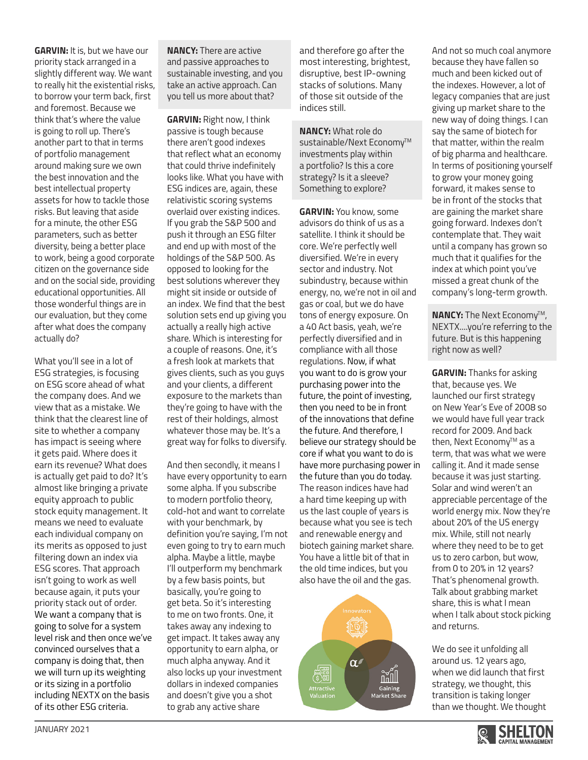**GARVIN:** It is, but we have our priority stack arranged in a slightly different way. We want to really hit the existential risks, to borrow your term back, first and foremost. Because we think that's where the value is going to roll up. There's another part to that in terms of portfolio management around making sure we own the best innovation and the best intellectual property assets for how to tackle those risks. But leaving that aside for a minute, the other ESG parameters, such as better diversity, being a better place to work, being a good corporate citizen on the governance side and on the social side, providing educational opportunities. All those wonderful things are in our evaluation, but they come after what does the company actually do?

What you'll see in a lot of ESG strategies, is focusing on ESG score ahead of what the company does. And we view that as a mistake. We think that the clearest line of site to whether a company has impact is seeing where it gets paid. Where does it earn its revenue? What does is actually get paid to do? It's almost like bringing a private equity approach to public stock equity management. It means we need to evaluate each individual company on its merits as opposed to just filtering down an index via ESG scores. That approach isn't going to work as well because again, it puts your priority stack out of order. We want a company that is going to solve for a system level risk and then once we've convinced ourselves that a company is doing that, then we will turn up its weighting or its sizing in a portfolio including NEXTX on the basis of its other ESG criteria.

**NANCY:** There are active and passive approaches to sustainable investing, and you take an active approach. Can you tell us more about that?

**GARVIN:** Right now, I think passive is tough because there aren't good indexes that reflect what an economy that could thrive indefinitely looks like. What you have with ESG indices are, again, these relativistic scoring systems overlaid over existing indices. If you grab the S&P 500 and push it through an ESG filter and end up with most of the holdings of the S&P 500. As opposed to looking for the best solutions wherever they might sit inside or outside of an index. We find that the best solution sets end up giving you actually a really high active share. Which is interesting for a couple of reasons. One, it's a fresh look at markets that gives clients, such as you guys and your clients, a different exposure to the markets than they're going to have with the rest of their holdings, almost whatever those may be. It's a great way for folks to diversify.

And then secondly, it means I have every opportunity to earn some alpha. If you subscribe to modern portfolio theory, cold-hot and want to correlate with your benchmark, by definition you're saying, I'm not even going to try to earn much alpha. Maybe a little, maybe I'll outperform my benchmark by a few basis points, but basically, you're going to get beta. So it's interesting to me on two fronts. One, it takes away any indexing to get impact. It takes away any opportunity to earn alpha, or much alpha anyway. And it also locks up your investment dollars in indexed companies and doesn't give you a shot to grab any active share

and therefore go after the most interesting, brightest, disruptive, best IP-owning stacks of solutions. Many of those sit outside of the indices still.

**NANCY:** What role do sustainable/Next Economy™ investments play within a portfolio? Is this a core strategy? Is it a sleeve? Something to explore?

**GARVIN:** You know, some advisors do think of us as a satellite. I think it should be core. We're perfectly well diversified. We're in every sector and industry. Not subindustry, because within energy, no, we're not in oil and gas or coal, but we do have tons of energy exposure. On a 40 Act basis, yeah, we're perfectly diversified and in compliance with all those regulations. Now, if what you want to do is grow your purchasing power into the future, the point of investing, then you need to be in front of the innovations that define the future. And therefore, I believe our strategy should be core if what you want to do is have more purchasing power in the future than you do today. The reason indices have had a hard time keeping up with us the last couple of years is because what you see is tech and renewable energy and biotech gaining market share. You have a little bit of that in the old time indices, but you also have the oil and the gas.



And not so much coal anymore because they have fallen so much and been kicked out of the indexes. However, a lot of legacy companies that are just giving up market share to the new way of doing things. I can say the same of biotech for that matter, within the realm of big pharma and healthcare. In terms of positioning yourself to grow your money going forward, it makes sense to be in front of the stocks that are gaining the market share going forward. Indexes don't contemplate that. They wait until a company has grown so much that it qualifies for the index at which point you've missed a great chunk of the company's long-term growth.

**NANCY:** The Next Economy™, NEXTX....you're referring to the future. But is this happening right now as well?

**GARVIN:** Thanks for asking that, because yes. We launched our first strategy on New Year's Eve of 2008 so we would have full year track record for 2009. And back then, Next Economy™ as a term, that was what we were calling it. And it made sense because it was just starting. Solar and wind weren't an appreciable percentage of the world energy mix. Now they're about 20% of the US energy mix. While, still not nearly where they need to be to get us to zero carbon, but wow, from 0 to 20% in 12 years? That's phenomenal growth. Talk about grabbing market share, this is what I mean when I talk about stock picking and returns.

We do see it unfolding all around us. 12 years ago, when we did launch that first strategy, we thought, this transition is taking longer than we thought. We thought